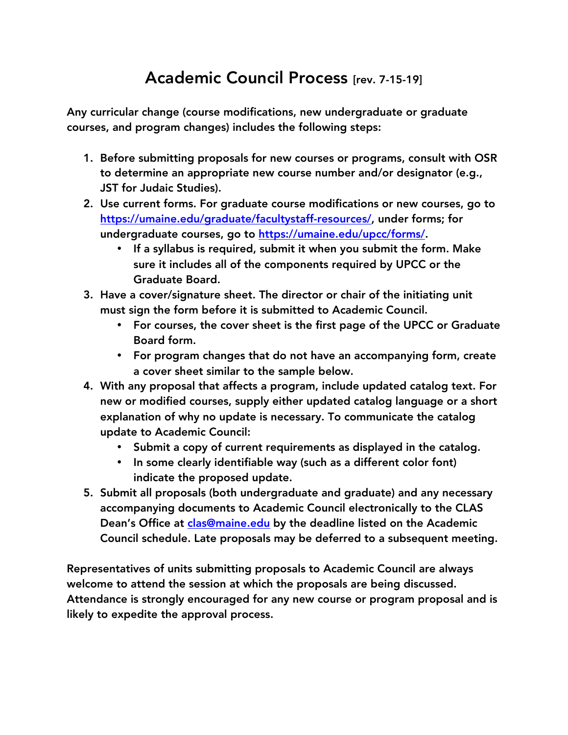## Academic Council Process [rev. 7-15-19]

Any curricular change (course modifications, new undergraduate or graduate courses, and program changes) includes the following steps:

- 1. Before submitting proposals for new courses or programs, consult with OSR to determine an appropriate new course number and/or designator (e.g., JST for Judaic Studies).
- 2. Use current forms. For graduate course modifications or new courses, go to https://umaine.edu/graduate/facultystaff-resources/, under forms; for undergraduate courses, go to https://umaine.edu/upcc/forms/.
	- If a syllabus is required, submit it when you submit the form. Make sure it includes all of the components required by UPCC or the Graduate Board.
- 3. Have a cover/signature sheet. The director or chair of the initiating unit must sign the form before it is submitted to Academic Council.
	- For courses, the cover sheet is the first page of the UPCC or Graduate Board form.
	- For program changes that do not have an accompanying form, create a cover sheet similar to the sample below.
- 4. With any proposal that affects a program, include updated catalog text. For new or modified courses, supply either updated catalog language or a short explanation of why no update is necessary. To communicate the catalog update to Academic Council:
	- Submit a copy of current requirements as displayed in the catalog.
	- In some clearly identifiable way (such as a different color font) indicate the proposed update.
- 5. Submit all proposals (both undergraduate and graduate) and any necessary accompanying documents to Academic Council electronically to the CLAS Dean's Office at clas@maine.edu by the deadline listed on the Academic Council schedule. Late proposals may be deferred to a subsequent meeting.

Representatives of units submitting proposals to Academic Council are always welcome to attend the session at which the proposals are being discussed. Attendance is strongly encouraged for any new course or program proposal and is likely to expedite the approval process.